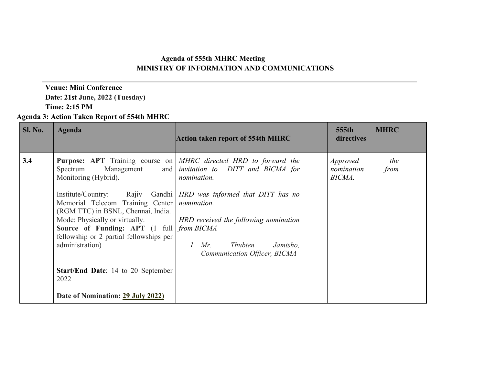## **Agenda of 555th MHRC Meeting MINISTRY OF INFORMATION AND COMMUNICATIONS**

### **Venue: Mini Conference Date: 21st June, 2022 (Tuesday) Time: 2:15 PM**

### **Agenda 3: Action Taken Report of 554th MHRC**

| <b>Sl. No.</b> | Agenda                                                                                                                                                                                                                                                                                                 | <b>Action taken report of 554th MHRC</b>                                                                                                                                                                                                                                                                                                                                               | 555th<br><b>MHRC</b><br>directives                     |
|----------------|--------------------------------------------------------------------------------------------------------------------------------------------------------------------------------------------------------------------------------------------------------------------------------------------------------|----------------------------------------------------------------------------------------------------------------------------------------------------------------------------------------------------------------------------------------------------------------------------------------------------------------------------------------------------------------------------------------|--------------------------------------------------------|
| 3.4            | Spectrum<br>Management<br>Monitoring (Hybrid).<br>Memorial Telecom Training Center<br>(RGM TTC) in BSNL, Chennai, India.<br><b>Source of Funding: APT</b> (1 full <i>from BICMA</i><br>fellowship or 2 partial fellowships per<br>administration)<br><b>Start/End Date:</b> 14 to 20 September<br>2022 | <b>Purpose:</b> APT Training course on <i>MHRC directed HRD to forward the</i><br>and <i>invitation to DITT and BICMA for</i><br>nomination.<br>Institute/Country: Rajiv Gandhi <i>HRD was informed that DITT has no</i><br>nomination.<br>Mode: Physically or virtually.<br><br>  HRD received the following nomination<br>1. Mr. Thubten<br>Jamtsho,<br>Communication Officer, BICMA | <i>Approved</i><br>the<br>nomination<br>from<br>BICMA. |
|                | Date of Nomination: 29 July 2022)                                                                                                                                                                                                                                                                      |                                                                                                                                                                                                                                                                                                                                                                                        |                                                        |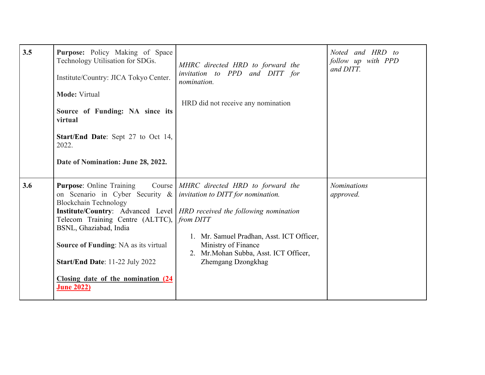| 3.5 | Purpose: Policy Making of Space<br>Technology Utilisation for SDGs.<br>Institute/Country: JICA Tokyo Center.<br><b>Mode: Virtual</b><br>Source of Funding: NA since its<br>virtual<br><b>Start/End Date:</b> Sept 27 to Oct 14,<br>2022.<br>Date of Nomination: June 28, 2022.                                                                             | MHRC directed HRD to forward the<br>invitation to PPD and DITT for<br>nomination.<br>HRD did not receive any nomination                                                                                                                                               | Noted and HRD to<br>follow up with PPD<br>and DITT. |
|-----|------------------------------------------------------------------------------------------------------------------------------------------------------------------------------------------------------------------------------------------------------------------------------------------------------------------------------------------------------------|-----------------------------------------------------------------------------------------------------------------------------------------------------------------------------------------------------------------------------------------------------------------------|-----------------------------------------------------|
| 3.6 | <b>Purpose:</b> Online Training<br>on Scenario in Cyber Security $\&$ <i>invitation to DITT for nomination.</i><br><b>Blockchain Technology</b><br>Telecom Training Centre (ALTTC),<br>BSNL, Ghaziabad, India<br><b>Source of Funding: NA as its virtual</b><br>Start/End Date: 11-22 July 2022<br>Closing date of the nomination (24<br><b>June 2022)</b> | Course MHRC directed HRD to forward the<br>Institute/Country: Advanced Level   HRD received the following nomination<br>from DITT<br>1. Mr. Samuel Pradhan, Asst. ICT Officer,<br>Ministry of Finance<br>2. Mr. Mohan Subba, Asst. ICT Officer,<br>Zhemgang Dzongkhag | <b>Nominations</b><br>approved.                     |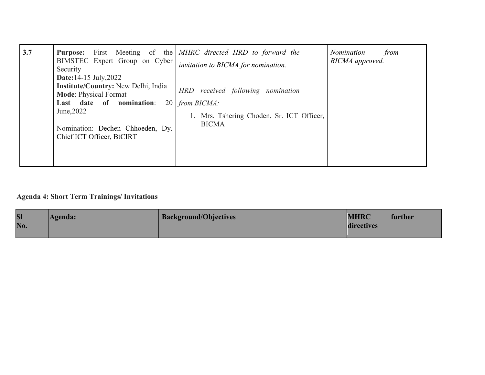| 3.7 | BIMSTEC Expert Group on Cyber<br>Security<br><b>Date:</b> 14-15 July, 2022                                                                                                                  | <b>Purpose:</b> First Meeting of the <i>MHRC directed HRD to forward the</i><br>invitation to BICMA for nomination.  | Nomination<br>from<br>BICMA approved. |
|-----|---------------------------------------------------------------------------------------------------------------------------------------------------------------------------------------------|----------------------------------------------------------------------------------------------------------------------|---------------------------------------|
|     | <b>Institute/Country:</b> New Delhi, India<br><b>Mode: Physical Format</b><br>Last date of nomination:<br>20<br>June, 2022<br>Nomination: Dechen Chhoeden, Dy.<br>Chief ICT Officer, BtCIRT | HRD received following nomination<br><i>from BICMA:</i><br>1. Mrs. Tshering Choden, Sr. ICT Officer,<br><b>BICMA</b> |                                       |

# **Agenda 4: Short Term Trainings/ Invitations**

| <b>SI</b><br>No. | Agenda: | <b>Background/Objectives</b> | <b>MHRC</b> | further |
|------------------|---------|------------------------------|-------------|---------|
|                  |         |                              | directives  |         |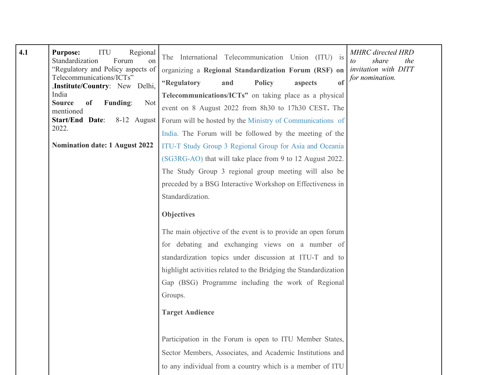| 4.1 | ITU<br><b>Purpose:</b><br>Regional<br>Standardization<br>Forum<br>on<br>"Regulatory and Policy aspects of<br>Telecommunications/ICTs"<br><b>Institute/Country:</b> New Delhi,<br>India<br><b>Source</b><br>of<br><b>Funding:</b><br>Not<br>mentioned<br>Start/End Date:<br>$8-12$ August<br>2022. | The International Telecommunication Union (ITU) is<br>organizing a Regional Standardization Forum (RSF) on <i>invitation with DITT</i><br><sub>of</sub><br>"Regulatory<br><b>Policy</b><br>and<br>aspects<br>Telecommunications/ICTs" on taking place as a physical<br>event on 8 August 2022 from 8h30 to 17h30 CEST. The<br>Forum will be hosted by the Ministry of Communications of<br>India. The Forum will be followed by the meeting of the | <b>MHRC</b> directed HRD<br>share<br>the<br>$\iota$<br>for nomination. |
|-----|---------------------------------------------------------------------------------------------------------------------------------------------------------------------------------------------------------------------------------------------------------------------------------------------------|----------------------------------------------------------------------------------------------------------------------------------------------------------------------------------------------------------------------------------------------------------------------------------------------------------------------------------------------------------------------------------------------------------------------------------------------------|------------------------------------------------------------------------|
|     | <b>Nomination date: 1 August 2022</b>                                                                                                                                                                                                                                                             | ITU-T Study Group 3 Regional Group for Asia and Oceania                                                                                                                                                                                                                                                                                                                                                                                            |                                                                        |
|     |                                                                                                                                                                                                                                                                                                   | (SG3RG-AO) that will take place from 9 to 12 August 2022.                                                                                                                                                                                                                                                                                                                                                                                          |                                                                        |
|     |                                                                                                                                                                                                                                                                                                   | The Study Group 3 regional group meeting will also be                                                                                                                                                                                                                                                                                                                                                                                              |                                                                        |
|     |                                                                                                                                                                                                                                                                                                   | preceded by a BSG Interactive Workshop on Effectiveness in                                                                                                                                                                                                                                                                                                                                                                                         |                                                                        |
|     |                                                                                                                                                                                                                                                                                                   | Standardization.                                                                                                                                                                                                                                                                                                                                                                                                                                   |                                                                        |
|     |                                                                                                                                                                                                                                                                                                   | <b>Objectives</b>                                                                                                                                                                                                                                                                                                                                                                                                                                  |                                                                        |
|     |                                                                                                                                                                                                                                                                                                   | The main objective of the event is to provide an open forum                                                                                                                                                                                                                                                                                                                                                                                        |                                                                        |
|     |                                                                                                                                                                                                                                                                                                   | for debating and exchanging views on a number of                                                                                                                                                                                                                                                                                                                                                                                                   |                                                                        |
|     |                                                                                                                                                                                                                                                                                                   | standardization topics under discussion at ITU-T and to                                                                                                                                                                                                                                                                                                                                                                                            |                                                                        |
|     |                                                                                                                                                                                                                                                                                                   | highlight activities related to the Bridging the Standardization                                                                                                                                                                                                                                                                                                                                                                                   |                                                                        |
|     |                                                                                                                                                                                                                                                                                                   | Gap (BSG) Programme including the work of Regional                                                                                                                                                                                                                                                                                                                                                                                                 |                                                                        |
|     |                                                                                                                                                                                                                                                                                                   | Groups.                                                                                                                                                                                                                                                                                                                                                                                                                                            |                                                                        |
|     |                                                                                                                                                                                                                                                                                                   | <b>Target Audience</b>                                                                                                                                                                                                                                                                                                                                                                                                                             |                                                                        |
|     |                                                                                                                                                                                                                                                                                                   |                                                                                                                                                                                                                                                                                                                                                                                                                                                    |                                                                        |
|     |                                                                                                                                                                                                                                                                                                   | Participation in the Forum is open to ITU Member States,                                                                                                                                                                                                                                                                                                                                                                                           |                                                                        |
|     |                                                                                                                                                                                                                                                                                                   | Sector Members, Associates, and Academic Institutions and                                                                                                                                                                                                                                                                                                                                                                                          |                                                                        |
|     |                                                                                                                                                                                                                                                                                                   | to any individual from a country which is a member of ITU                                                                                                                                                                                                                                                                                                                                                                                          |                                                                        |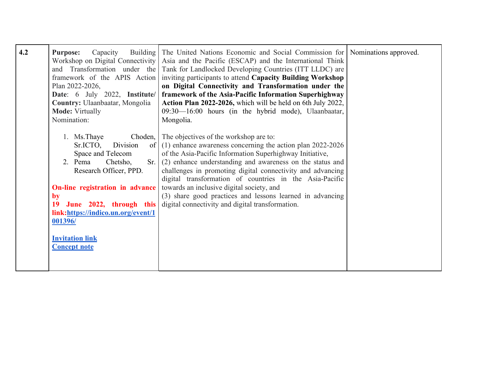| 4.2 | Capacity<br><b>Purpose:</b><br>Workshop on Digital Connectivity<br>and Transformation under the<br>Plan 2022-2026,<br>Date: 6 July 2022, Institute/<br>Country: Ulaanbaatar, Mongolia<br><b>Mode: Virtually</b><br>Nomination: | Building The United Nations Economic and Social Commission for Nominations approved.<br>Asia and the Pacific (ESCAP) and the International Think<br>Tank for Landlocked Developing Countries (ITT LLDC) are<br>framework of the APIS Action inviting participants to attend Capacity Building Workshop<br>on Digital Connectivity and Transformation under the<br>framework of the Asia-Pacific Information Superhighway<br>Action Plan 2022-2026, which will be held on 6th July 2022,<br>09:30—16:00 hours (in the hybrid mode), Ulaanbaatar,<br>Mongolia. |  |
|-----|--------------------------------------------------------------------------------------------------------------------------------------------------------------------------------------------------------------------------------|--------------------------------------------------------------------------------------------------------------------------------------------------------------------------------------------------------------------------------------------------------------------------------------------------------------------------------------------------------------------------------------------------------------------------------------------------------------------------------------------------------------------------------------------------------------|--|
|     | 1. Ms. Thaye<br>Sr.ICTO,<br>Division<br>Space and Telecom<br>Sr.<br>2. Pema<br>Chetsho,<br>Research Officer, PPD.                                                                                                              | Choden, The objectives of the workshop are to:<br>of $(1)$ enhance awareness concerning the action plan 2022-2026<br>of the Asia-Pacific Information Superhighway Initiative,<br>(2) enhance understanding and awareness on the status and<br>challenges in promoting digital connectivity and advancing<br>digital transformation of countries in the Asia-Pacific                                                                                                                                                                                          |  |
|     | On-line registration in advance<br>by<br>June 2022, through this<br>19<br>link:https://indico.un.org/event/1<br>001396/<br><b>Invitation link</b><br><b>Concept note</b>                                                       | towards an inclusive digital society, and<br>(3) share good practices and lessons learned in advancing<br>digital connectivity and digital transformation.                                                                                                                                                                                                                                                                                                                                                                                                   |  |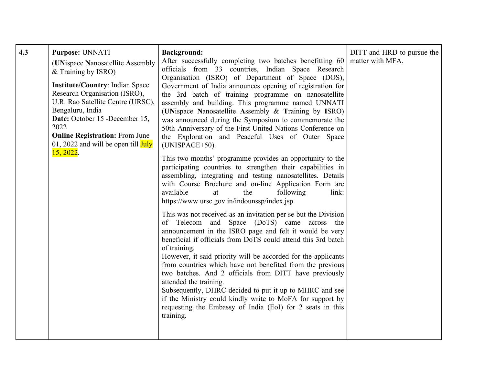| 4.3 | Purpose: UNNATI<br>(UNispace Nanosatellite Assembly<br>$&$ Training by ISRO)<br><b>Institute/Country: Indian Space</b><br>Research Organisation (ISRO),<br>U.R. Rao Satellite Centre (URSC),<br>Bengaluru, India<br>Date: October 15 -December 15,<br>2022<br><b>Online Registration: From June</b><br>01, 2022 and will be open till $\overline{July}$<br>15, 2022. | <b>Background:</b><br>After successfully completing two batches benefitting 60<br>officials from 33 countries, Indian Space Research<br>Organisation (ISRO) of Department of Space (DOS),<br>Government of India announces opening of registration for<br>the 3rd batch of training programme on nanosatellite<br>assembly and building. This programme named UNNATI<br>(UNispace Nanosatellite Assembly & Training by ISRO)<br>was announced during the Symposium to commemorate the<br>50th Anniversary of the First United Nations Conference on<br>the Exploration and Peaceful Uses of Outer Space<br>(UNISPACE+50).<br>This two months' programme provides an opportunity to the<br>participating countries to strengthen their capabilities in<br>assembling, integrating and testing nanosatellites. Details<br>with Course Brochure and on-line Application Form are<br>available<br>the<br>following<br>at<br>link:<br>https://www.ursc.gov.in/indounssp/index.jsp<br>This was not received as an invitation per se but the Division<br>of Telecom and Space (DoTS) came across the<br>announcement in the ISRO page and felt it would be very<br>beneficial if officials from DoTS could attend this 3rd batch<br>of training.<br>However, it said priority will be accorded for the applicants<br>from countries which have not benefited from the previous<br>two batches. And 2 officials from DITT have previously<br>attended the training.<br>Subsequently, DHRC decided to put it up to MHRC and see<br>if the Ministry could kindly write to MoFA for support by<br>requesting the Embassy of India (EoI) for 2 seats in this<br>training. | DITT and HRD to pursue the<br>matter with MFA. |
|-----|----------------------------------------------------------------------------------------------------------------------------------------------------------------------------------------------------------------------------------------------------------------------------------------------------------------------------------------------------------------------|---------------------------------------------------------------------------------------------------------------------------------------------------------------------------------------------------------------------------------------------------------------------------------------------------------------------------------------------------------------------------------------------------------------------------------------------------------------------------------------------------------------------------------------------------------------------------------------------------------------------------------------------------------------------------------------------------------------------------------------------------------------------------------------------------------------------------------------------------------------------------------------------------------------------------------------------------------------------------------------------------------------------------------------------------------------------------------------------------------------------------------------------------------------------------------------------------------------------------------------------------------------------------------------------------------------------------------------------------------------------------------------------------------------------------------------------------------------------------------------------------------------------------------------------------------------------------------------------------------------------------------------------------------------|------------------------------------------------|
|-----|----------------------------------------------------------------------------------------------------------------------------------------------------------------------------------------------------------------------------------------------------------------------------------------------------------------------------------------------------------------------|---------------------------------------------------------------------------------------------------------------------------------------------------------------------------------------------------------------------------------------------------------------------------------------------------------------------------------------------------------------------------------------------------------------------------------------------------------------------------------------------------------------------------------------------------------------------------------------------------------------------------------------------------------------------------------------------------------------------------------------------------------------------------------------------------------------------------------------------------------------------------------------------------------------------------------------------------------------------------------------------------------------------------------------------------------------------------------------------------------------------------------------------------------------------------------------------------------------------------------------------------------------------------------------------------------------------------------------------------------------------------------------------------------------------------------------------------------------------------------------------------------------------------------------------------------------------------------------------------------------------------------------------------------------|------------------------------------------------|